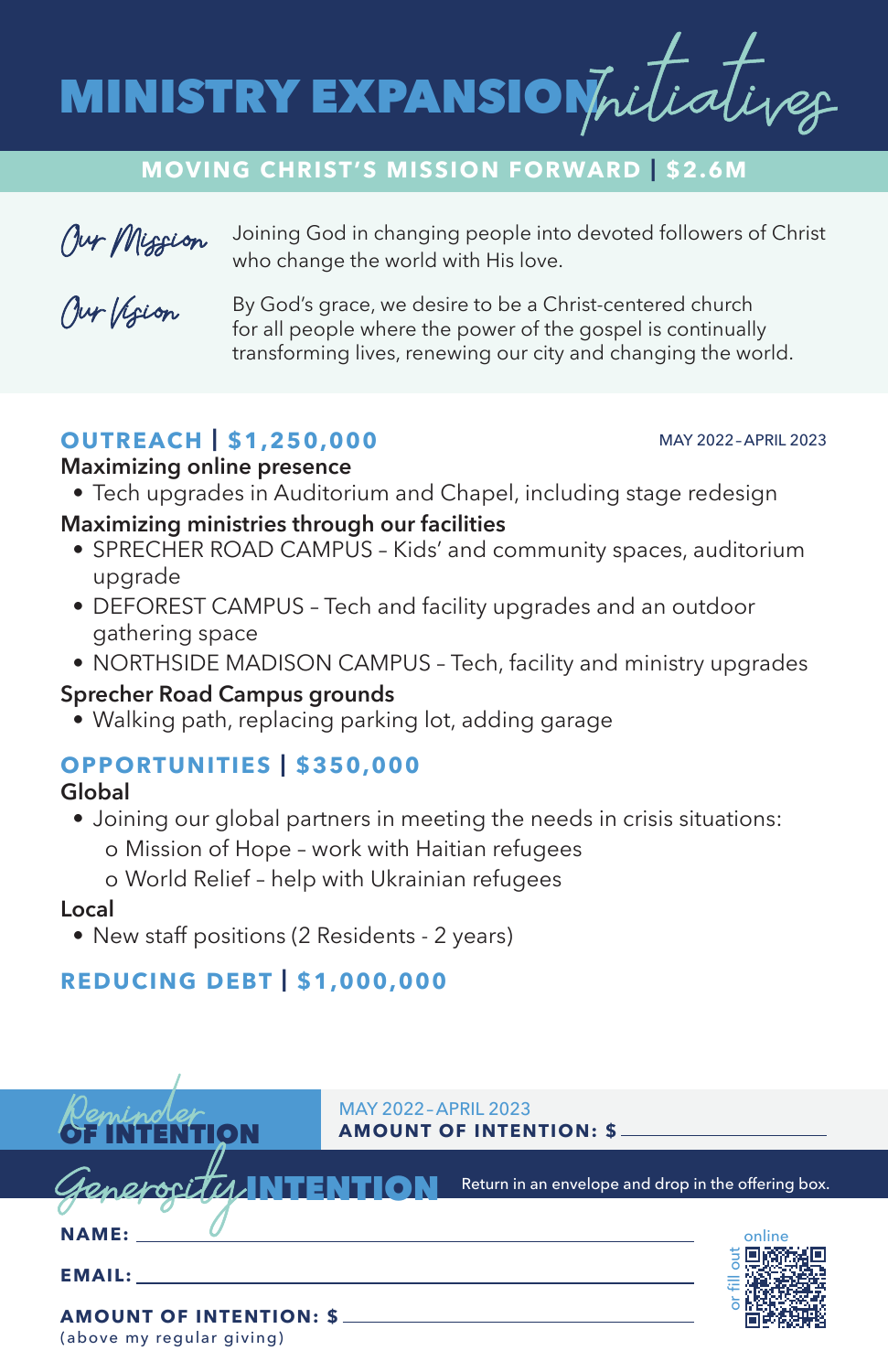

#### **MOVING CHRIST'S MISSION FORWARD | \$2.6M**



Joining God in changing people into devoted followers of Christ who change the world with His love.

Our Vision

By God's grace, we desire to be a Christ-centered church for all people where the power of the gospel is continually transforming lives, renewing our city and changing the world.

# **OUTREACH | \$1,250,000**

#### MAY 2022– APRIL 2023

#### **Maximizing online presence**

- Tech upgrades in Auditorium and Chapel, including stage redesign
- **Maximizing ministries through our facilities**
	- SPRECHER ROAD CAMPUS Kids' and community spaces, auditorium upgrade
	- DEFOREST CAMPUS Tech and facility upgrades and an outdoor gathering space
	- NORTHSIDE MADISON CAMPUS Tech, facility and ministry upgrades

#### **Sprecher Road Campus grounds**

• Walking path, replacing parking lot, adding garage

# **OPPORTUNITIES | \$350,000**

#### **Global**

• Joining our global partners in meeting the needs in crisis situations: o Mission of Hope – work with Haitian refugees o World Relief – help with Ukrainian refugees

#### **Local**

• New staff positions (2 Residents - 2 years)

# **REDUCING DEBT | \$1,000,000**